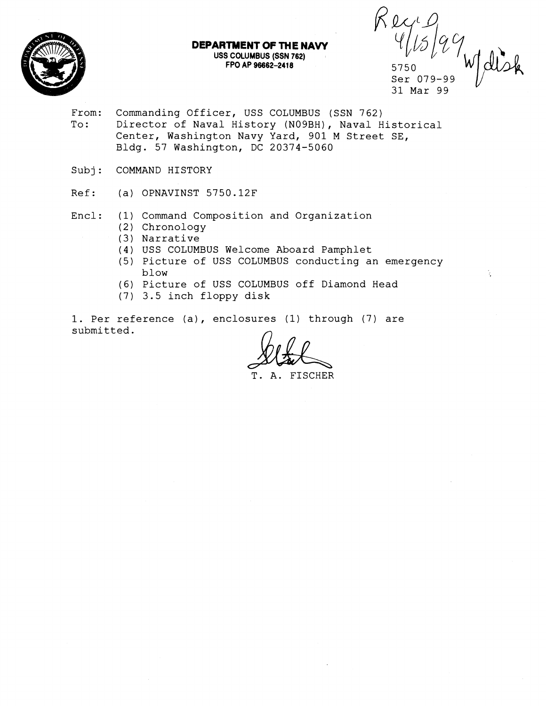

# **DEPARTMENT OF THE NAW USS COLUMBUS (SSN 762)**

**FPO AP 96662-2418 6 5750**<br> **Ser 079-99**  $\frac{9}{2750}$ <br>
Ser 079-99<br>
31 Mar 99

k.

From: Commanding Officer, USS COLUMBUS (SSN 762)<br>To: Director of Naval History (N09BH), Naval H Director of Naval History (NO9BH), Naval Historical Center, Washington Navy Yard, 901 M Street SE, Bldg. 57 Washington, DC 20374-5060

Subj: COMMAND HISTORY

Ref: (a) OPNAVINST 5750.12F

Encl: (1) Command Composition and Organization

- (2) Chronology
- (3) Narrative
- (4) USS COLUMBUS Welcome Aboard Pamphlet
- (5) Picture of USS COLUMBUS conducting an emergency blow
- (6) Picture of USS COLUMBUS off Diamond Head
- (7) 3.5 inch floppy disk

1. Per reference (a), enclosures (1) through (7) are submitted.

T. A. FISCHER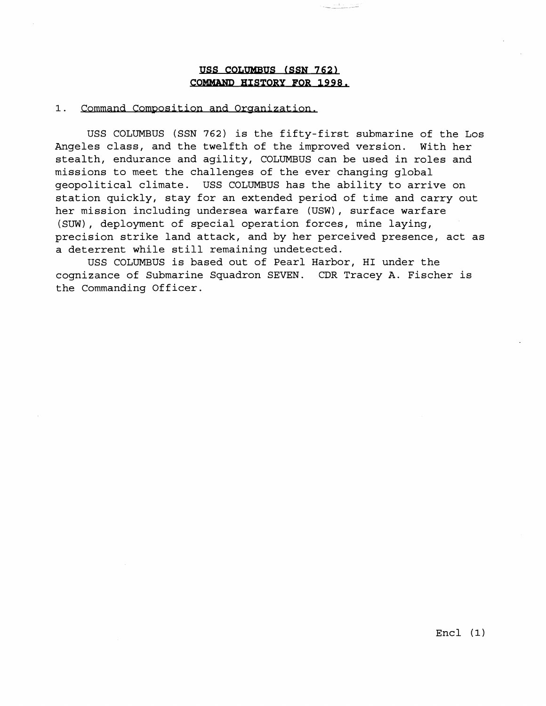# USS COLUMBUS (SSN 762) **COMMAND HISTORY FOR 1998.**

#### 1. Command Composition and Organization.

USS COLUMBUS (SSN **762)** is the fifty-first submarine of the Los Angeles class, and the twelfth of the improved version. With her stealth, endurance and agility, COLUMBUS can be used in roles and missions to meet the challenges of the ever changing global geopolitical climate. USS COLUMBUS has the ability to arrive on station quickly, stay for an extended period of time and carry out her mission including undersea warfare (USW), surface warfare (SUW), deployment of special operation forces, mine laying, precision strike land attack, and by her perceived presence, act as a deterrent while still remaining undetected.

USS COLUMBUS is based out of Pearl Harbor, HI under the cognizance of Submarine Squadron SEVEN. CDR Tracey A. Fischer is the Commanding Officer.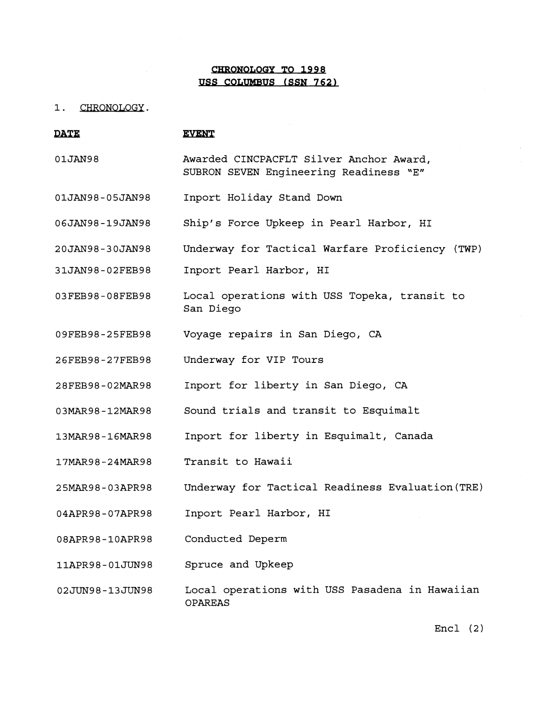# **USS COLUMBUS (SSN 762)**

### 1. CHRONOLOGY.

|                   | <b>CHRONOLOGY TO 1998</b>                                                         |
|-------------------|-----------------------------------------------------------------------------------|
|                   | USS COLUMBUS (SSN 762)                                                            |
| CHRONOLOGY.<br>1. |                                                                                   |
| <b>DATE</b>       | <b>EVENT</b>                                                                      |
| 01JAN98           | Awarded CINCPACFLT Silver Anchor Award,<br>SUBRON SEVEN Engineering Readiness "E" |
| 01JAN98-05JAN98   | Inport Holiday Stand Down                                                         |
| 06JAN98-19JAN98   | Ship's Force Upkeep in Pearl Harbor, HI                                           |
| 20JAN98-30JAN98   | Underway for Tactical Warfare Proficiency (TWP)                                   |
| 31JAN98-02FEB98   | Inport Pearl Harbor, HI                                                           |
| 03FEB98-08FEB98   | Local operations with USS Topeka, transit to<br>San Diego                         |
| 09FEB98-25FEB98   | Voyage repairs in San Diego, CA                                                   |
| 26FEB98-27FEB98   | Underway for VIP Tours                                                            |
| 28FEB98-02MAR98   | Inport for liberty in San Diego, CA                                               |
| 03MAR98-12MAR98   | Sound trials and transit to Esquimalt                                             |
| 13MAR98-16MAR98   | Inport for liberty in Esquimalt, Canada                                           |
| 17MAR98-24MAR98   | Transit to Hawaii                                                                 |
| 25MAR98-03APR98   | Underway for Tactical Readiness Evaluation (TRE)                                  |
| 04APR98-07APR98   | Inport Pearl Harbor, HI                                                           |
| 08APR98-10APR98   | Conducted Deperm                                                                  |
| 11APR98-01JUN98   | Spruce and Upkeep                                                                 |
| 02JUN98-13JUN98   | Local operations with USS Pasadena in Hawaiian<br><b>OPAREAS</b>                  |

Encl (2)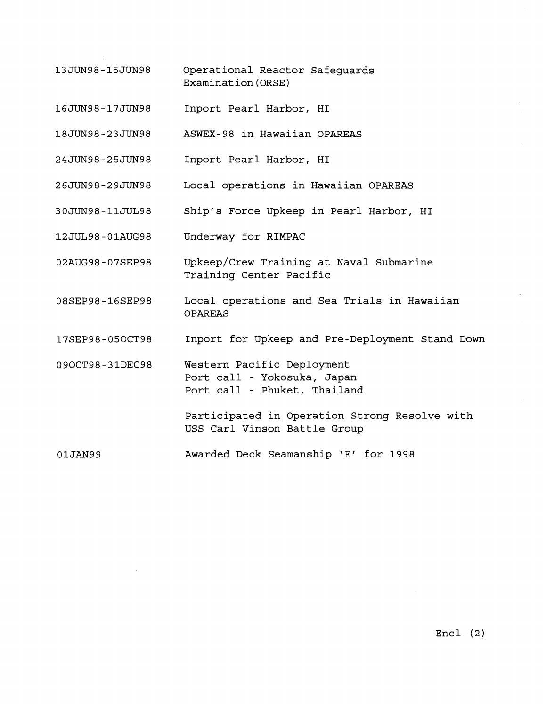- 13JUN98-15JUN98 Operational Reactor Safeguards Examinat ion (ORSE)
- 16JUN98-17JUN98 Inport Pearl Harbor, HI
- 18JUN98-23JUN98 ASWEX-98 in Hawaiian OPAREAS
- Inport Pearl Harbor, HI 24JUN98-25JUN98
- Local operations in Hawaiian OPAREAS 26JUN98-29JUN98
- 30JUN98-11JUL98 Ship's Force Upkeep in Pearl Harbor, HI
- 12JUL98-01AUG98 Underway for RIMPAC
- 02AUG98-07SEP98 Upkeep/Crew Training at Naval Submarine Training Center Pacific
- 08SEP98-16SEP98 Local operations and Sea Trials in Hawaiian OPAREAS
- 17SEP98-05OCT98 Inport for Upkeep and Pre-Deployment Stand Down

Western Pacific Deployment 090CT98-31DEC98 Port call - Yokosuka, Japan Port call - Phuket, Thailand

> Participated in Operation Strong Resolve with USS Carl Vinson Battle Group

01JAN99 Awarded Deck Seamanship 'E' for 1998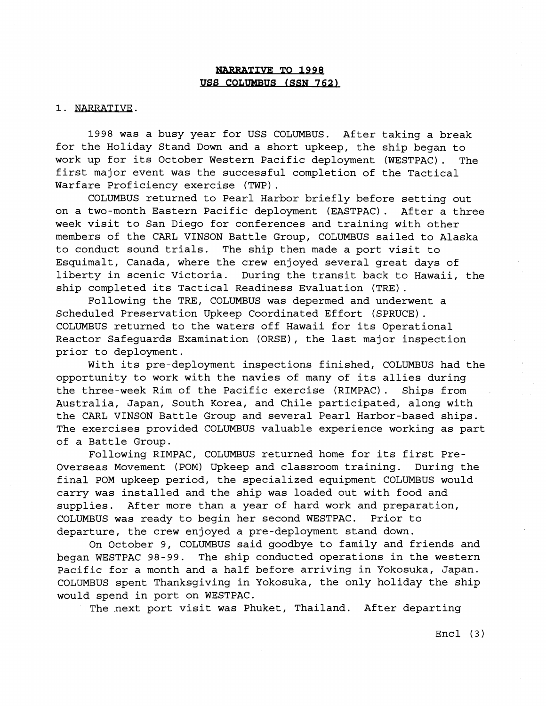# **NARRATIVE TO 1998** USS COLUMBUS (SSN 762)

### 1. NARRATIVE.

1998 was a busy year for USS COLUMBUS. After taking a break for the Holiday Stand Down and a short upkeep, the ship began to work up for its October Western Pacific deployment (WESTPAC). The first major event was the successful completion of the Tactical Warfare Proficiency exercise (TWP) .

COLUMBUS returned to Pearl Harbor briefly before setting out on a two-month Eastern Pacific deployment (EASTPAC) . After a three week visit to San Diego for conferences and training with other members of the CARL VINSON Battle Group, COLUMBUS sailed to Alaska to conduct sound trials. The ship then made a port visit to Esquimalt, Canada, where the crew enjoyed several great days of liberty in scenic Victoria. During the transit back to Hawaii, the ship completed its Tactical Readiness Evaluation (TRE).

Following the TRE, COLUMBUS was depermed and underwent a Scheduled Preservation Upkeep Coordinated Effort (SPRUCE). COLUMBUS returned to the waters off Hawaii for its Operational Reactor Safeguards Examination (ORSE), the last major inspection prior to deployment.

With its pre-deployment inspections finished, COLUMBUS had the opportunity to work with the navies of many of its allies during the three-week Rim of the Pacific exercise (RIMPAC). Ships from Australia, Japan, South Korea, and Chile participated, along with the CARL VINSON Battle Group and several Pearl Harbor-based ships. The exercises provided COLUMBUS valuable experience working as part of a Battle Group.

Following RIMPAC, COLUMBUS returned home for its first Pre-Overseas Movement (POM) Upkeep and classroom training. During the final POM upkeep period, the specialized equipment COLUMBUS would carry was installed and the ship was loaded out with food and supplies. After more than a year of hard work and preparation, COLUMBUS was ready to begin her second WESTPAC. Prior to departure, the crew enjoyed a pre-deployment stand down.

On October 9, COLUMBUS said goodbye to family and friends and began WESTPAC 98-99. The ship conducted operations in the western Pacific for a month and a half before arriving in Yokosuka, Japan. COLUMBUS spent Thanksgiving in Yokosuka, the only holiday the ship would spend in port on WESTPAC.

The next port visit was Phuket, Thailand. After departing

Encl (3)